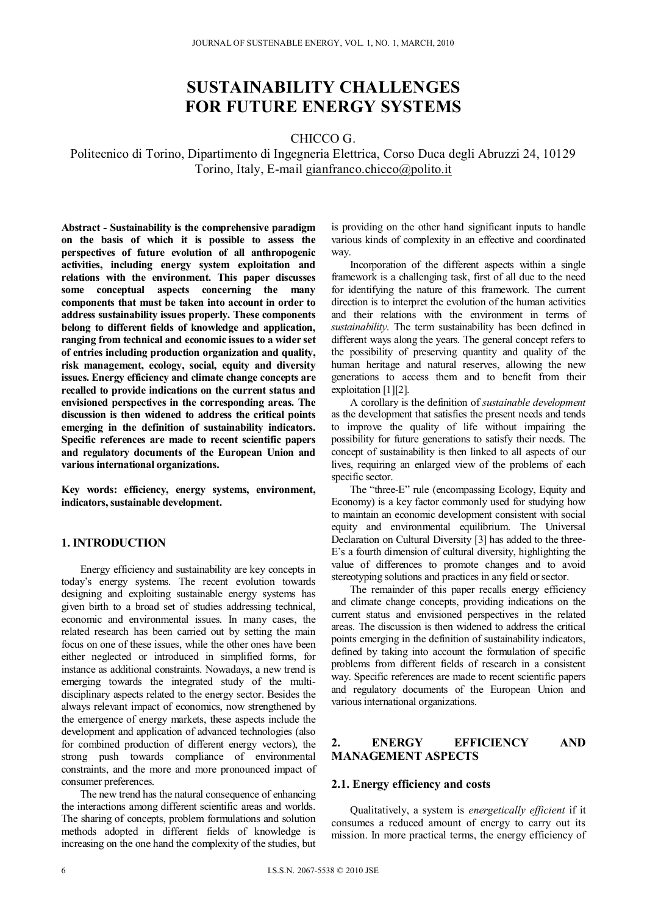# **SUSTAINABILITY CHALLENGES FOR FUTURE ENERGY SYSTEMS**

## CHICCO G.

Politecnico di Torino, Dipartimento di Ingegneria Elettrica, Corso Duca degli Abruzzi 24, 10129 Torino, Italy, E-mail gianfranco.chicco@polito.it

**Abstract - Sustainability is the comprehensive paradigm on the basis of which it is possible to assess the perspectives of future evolution of all anthropogenic activities, including energy system exploitation and relations with the environment. This paper discusses some conceptual aspects concerning the many components that must be taken into account in order to address sustainability issues properly. These components belong to different fields of knowledge and application, ranging from technical and economic issues to a wider set of entries including production organization and quality, risk management, ecology, social, equity and diversity issues. Energy efficiency and climate change concepts are recalled to provide indications on the current status and envisioned perspectives in the corresponding areas. The discussion is then widened to address the critical points emerging in the definition of sustainability indicators. Specific references are made to recent scientific papers and regulatory documents of the European Union and various international organizations.** 

**Key words: efficiency, energy systems, environment, indicators, sustainable development.** 

## **1. INTRODUCTION**

Energy efficiency and sustainability are key concepts in today's energy systems. The recent evolution towards designing and exploiting sustainable energy systems has given birth to a broad set of studies addressing technical, economic and environmental issues. In many cases, the related research has been carried out by setting the main focus on one of these issues, while the other ones have been either neglected or introduced in simplified forms, for instance as additional constraints. Nowadays, a new trend is emerging towards the integrated study of the multidisciplinary aspects related to the energy sector. Besides the always relevant impact of economics, now strengthened by the emergence of energy markets, these aspects include the development and application of advanced technologies (also for combined production of different energy vectors), the strong push towards compliance of environmental constraints, and the more and more pronounced impact of consumer preferences.

The new trend has the natural consequence of enhancing the interactions among different scientific areas and worlds. The sharing of concepts, problem formulations and solution methods adopted in different fields of knowledge is increasing on the one hand the complexity of the studies, but

is providing on the other hand significant inputs to handle various kinds of complexity in an effective and coordinated way.

Incorporation of the different aspects within a single framework is a challenging task, first of all due to the need for identifying the nature of this framework. The current direction is to interpret the evolution of the human activities and their relations with the environment in terms of *sustainability*. The term sustainability has been defined in different ways along the years. The general concept refers to the possibility of preserving quantity and quality of the human heritage and natural reserves, allowing the new generations to access them and to benefit from their exploitation [1][2].

A corollary is the definition of *sustainable development* as the development that satisfies the present needs and tends to improve the quality of life without impairing the possibility for future generations to satisfy their needs. The concept of sustainability is then linked to all aspects of our lives, requiring an enlarged view of the problems of each specific sector.

The "three-E" rule (encompassing Ecology, Equity and Economy) is a key factor commonly used for studying how to maintain an economic development consistent with social equity and environmental equilibrium. The Universal Declaration on Cultural Diversity [3] has added to the three-E's a fourth dimension of cultural diversity, highlighting the value of differences to promote changes and to avoid stereotyping solutions and practices in any field or sector.

The remainder of this paper recalls energy efficiency and climate change concepts, providing indications on the current status and envisioned perspectives in the related areas. The discussion is then widened to address the critical points emerging in the definition of sustainability indicators, defined by taking into account the formulation of specific problems from different fields of research in a consistent way. Specific references are made to recent scientific papers and regulatory documents of the European Union and various international organizations.

#### **2. ENERGY EFFICIENCY AND MANAGEMENT ASPECTS**

#### **2.1. Energy efficiency and costs**

Qualitatively, a system is *energetically efficient* if it consumes a reduced amount of energy to carry out its mission. In more practical terms, the energy efficiency of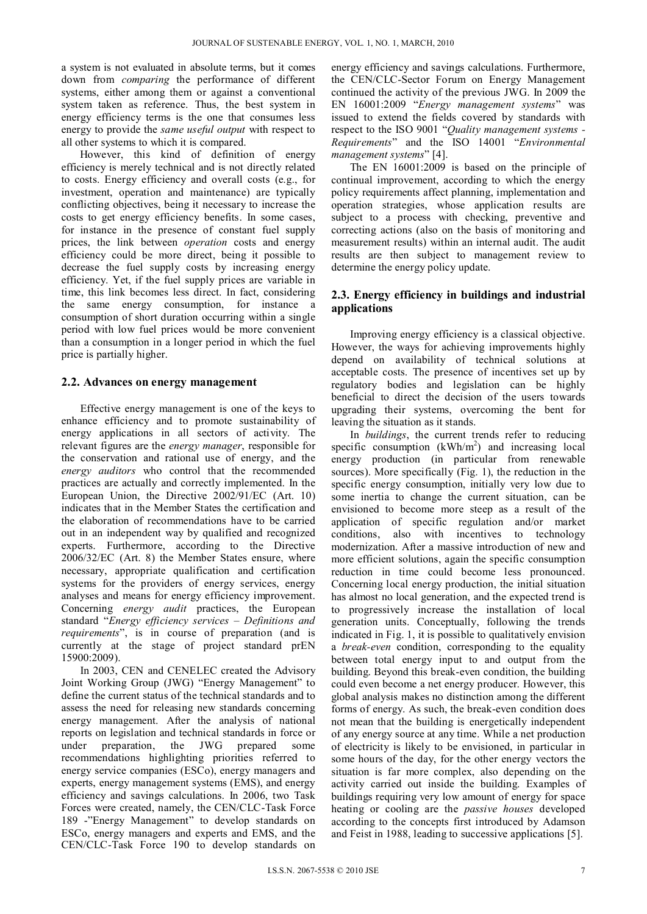a system is not evaluated in absolute terms, but it comes down from *comparing* the performance of different systems, either among them or against a conventional system taken as reference. Thus, the best system in energy efficiency terms is the one that consumes less energy to provide the *same useful output* with respect to all other systems to which it is compared.

However, this kind of definition of energy efficiency is merely technical and is not directly related to costs. Energy efficiency and overall costs (e.g., for investment, operation and maintenance) are typically conflicting objectives, being it necessary to increase the costs to get energy efficiency benefits. In some cases, for instance in the presence of constant fuel supply prices, the link between *operation* costs and energy efficiency could be more direct, being it possible to decrease the fuel supply costs by increasing energy efficiency. Yet, if the fuel supply prices are variable in time, this link becomes less direct. In fact, considering the same energy consumption, for instance a consumption of short duration occurring within a single period with low fuel prices would be more convenient than a consumption in a longer period in which the fuel price is partially higher.

#### **2.2. Advances on energy management**

Effective energy management is one of the keys to enhance efficiency and to promote sustainability of energy applications in all sectors of activity. The relevant figures are the *energy manager*, responsible for the conservation and rational use of energy, and the *energy auditors* who control that the recommended practices are actually and correctly implemented. In the European Union, the Directive 2002/91/EC (Art. 10) indicates that in the Member States the certification and the elaboration of recommendations have to be carried out in an independent way by qualified and recognized experts. Furthermore, according to the Directive 2006/32/EC (Art. 8) the Member States ensure, where necessary, appropriate qualification and certification systems for the providers of energy services, energy analyses and means for energy efficiency improvement. Concerning *energy audit* practices, the European standard "*Energy efficiency services – Definitions and requirements*", is in course of preparation (and is currently at the stage of project standard prEN 15900:2009).

In 2003, CEN and CENELEC created the Advisory Joint Working Group (JWG) "Energy Management" to define the current status of the technical standards and to assess the need for releasing new standards concerning energy management. After the analysis of national reports on legislation and technical standards in force or under preparation, the JWG prepared some recommendations highlighting priorities referred to energy service companies (ESCo), energy managers and experts, energy management systems (EMS), and energy efficiency and savings calculations. In 2006, two Task Forces were created, namely, the CEN/CLC-Task Force 189 -"Energy Management" to develop standards on ESCo, energy managers and experts and EMS, and the CEN/CLC-Task Force 190 to develop standards on

energy efficiency and savings calculations. Furthermore, the CEN/CLC-Sector Forum on Energy Management continued the activity of the previous JWG. In 2009 the EN 16001:2009 "*Energy management systems*" was issued to extend the fields covered by standards with respect to the ISO 9001 "*Quality management systems - Requirements*" and the ISO 14001 "*Environmental management systems*" [4].

The EN 16001:2009 is based on the principle of continual improvement, according to which the energy policy requirements affect planning, implementation and operation strategies, whose application results are subject to a process with checking, preventive and correcting actions (also on the basis of monitoring and measurement results) within an internal audit. The audit results are then subject to management review to determine the energy policy update.

# **2.3. Energy efficiency in buildings and industrial applications**

Improving energy efficiency is a classical objective. However, the ways for achieving improvements highly depend on availability of technical solutions at acceptable costs. The presence of incentives set up by regulatory bodies and legislation can be highly beneficial to direct the decision of the users towards upgrading their systems, overcoming the bent for leaving the situation as it stands.

In *buildings*, the current trends refer to reducing specific consumption  $(kWh/m<sup>2</sup>)$  and increasing local energy production (in particular from renewable sources). More specifically (Fig. 1), the reduction in the specific energy consumption, initially very low due to some inertia to change the current situation, can be envisioned to become more steep as a result of the application of specific regulation and/or market conditions, also with incentives to technology modernization. After a massive introduction of new and more efficient solutions, again the specific consumption reduction in time could become less pronounced. Concerning local energy production, the initial situation has almost no local generation, and the expected trend is to progressively increase the installation of local generation units. Conceptually, following the trends indicated in Fig. 1, it is possible to qualitatively envision a *break-even* condition, corresponding to the equality between total energy input to and output from the building. Beyond this break-even condition, the building could even become a net energy producer. However, this global analysis makes no distinction among the different forms of energy. As such, the break-even condition does not mean that the building is energetically independent of any energy source at any time. While a net production of electricity is likely to be envisioned, in particular in some hours of the day, for the other energy vectors the situation is far more complex, also depending on the activity carried out inside the building. Examples of buildings requiring very low amount of energy for space heating or cooling are the *passive houses* developed according to the concepts first introduced by Adamson and Feist in 1988, leading to successive applications [5].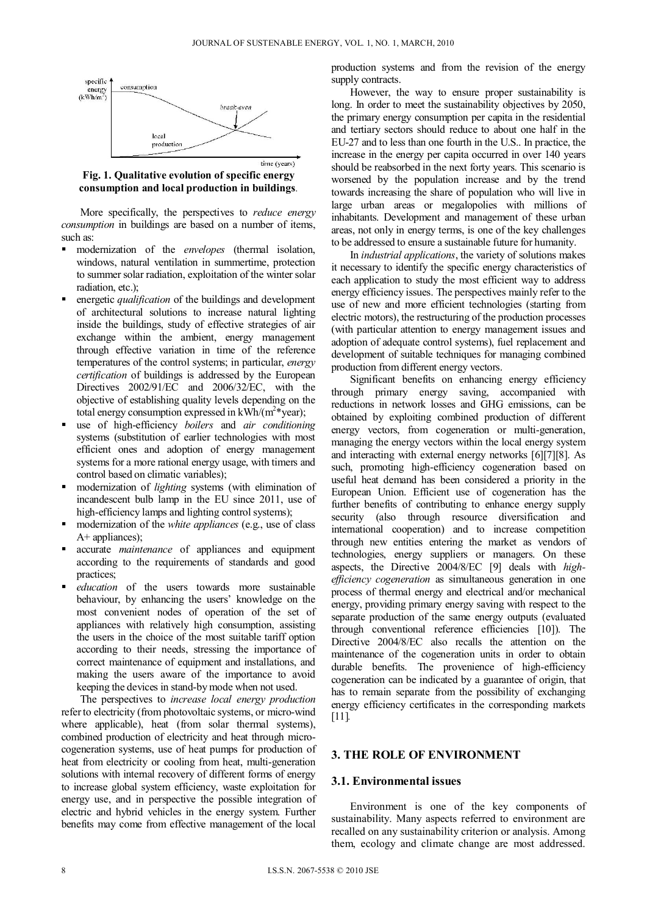

**Fig. 1. Qualitative evolution of specific energy consumption and local production in buildings**.

More specifically, the perspectives to *reduce energy consumption* in buildings are based on a number of items, such as:

- modernization of the *envelopes* (thermal isolation, windows, natural ventilation in summertime, protection to summer solar radiation, exploitation of the winter solar radiation, etc.);
- energetic *qualification* of the buildings and development of architectural solutions to increase natural lighting inside the buildings, study of effective strategies of air exchange within the ambient, energy management through effective variation in time of the reference temperatures of the control systems; in particular, *energy certification* of buildings is addressed by the European Directives 2002/91/EC and 2006/32/EC, with the objective of establishing quality levels depending on the total energy consumption expressed in  $kWh/(m^2*)$  year);
- use of high-efficiency *boilers* and *air conditioning* systems (substitution of earlier technologies with most efficient ones and adoption of energy management systems for a more rational energy usage, with timers and control based on climatic variables);
- modernization of *lighting* systems (with elimination of incandescent bulb lamp in the EU since 2011, use of high-efficiency lamps and lighting control systems);
- modernization of the *white appliances* (e.g., use of class A+ appliances);
- accurate *maintenance* of appliances and equipment according to the requirements of standards and good practices;
- *education* of the users towards more sustainable behaviour, by enhancing the users' knowledge on the most convenient nodes of operation of the set of appliances with relatively high consumption, assisting the users in the choice of the most suitable tariff option according to their needs, stressing the importance of correct maintenance of equipment and installations, and making the users aware of the importance to avoid keeping the devices in stand-by mode when not used.

The perspectives to *increase local energy production* refer to electricity (from photovoltaic systems, or micro-wind where applicable), heat (from solar thermal systems), combined production of electricity and heat through microcogeneration systems, use of heat pumps for production of heat from electricity or cooling from heat, multi-generation solutions with internal recovery of different forms of energy to increase global system efficiency, waste exploitation for energy use, and in perspective the possible integration of electric and hybrid vehicles in the energy system. Further benefits may come from effective management of the local

production systems and from the revision of the energy supply contracts.

However, the way to ensure proper sustainability is long. In order to meet the sustainability objectives by 2050, the primary energy consumption per capita in the residential and tertiary sectors should reduce to about one half in the EU-27 and to less than one fourth in the U.S.. In practice, the increase in the energy per capita occurred in over 140 years should be reabsorbed in the next forty years. This scenario is worsened by the population increase and by the trend towards increasing the share of population who will live in large urban areas or megalopolies with millions of inhabitants. Development and management of these urban areas, not only in energy terms, is one of the key challenges to be addressed to ensure a sustainable future for humanity.

In *industrial applications*, the variety of solutions makes it necessary to identify the specific energy characteristics of each application to study the most efficient way to address energy efficiency issues. The perspectives mainly refer to the use of new and more efficient technologies (starting from electric motors), the restructuring of the production processes (with particular attention to energy management issues and adoption of adequate control systems), fuel replacement and development of suitable techniques for managing combined production from different energy vectors.

Significant benefits on enhancing energy efficiency through primary energy saving, accompanied with reductions in network losses and GHG emissions, can be obtained by exploiting combined production of different energy vectors, from cogeneration or multi-generation, managing the energy vectors within the local energy system and interacting with external energy networks [6][7][8]. As such, promoting high-efficiency cogeneration based on useful heat demand has been considered a priority in the European Union. Efficient use of cogeneration has the further benefits of contributing to enhance energy supply security (also through resource diversification and international cooperation) and to increase competition through new entities entering the market as vendors of technologies, energy suppliers or managers. On these aspects, the Directive 2004/8/EC [9] deals with *highefficiency cogeneration* as simultaneous generation in one process of thermal energy and electrical and/or mechanical energy, providing primary energy saving with respect to the separate production of the same energy outputs (evaluated through conventional reference efficiencies [10]). The Directive 2004/8/EC also recalls the attention on the maintenance of the cogeneration units in order to obtain durable benefits. The provenience of high-efficiency cogeneration can be indicated by a guarantee of origin, that has to remain separate from the possibility of exchanging energy efficiency certificates in the corresponding markets [11]*.*

#### **3. THE ROLE OF ENVIRONMENT**

#### **3.1. Environmental issues**

Environment is one of the key components of sustainability. Many aspects referred to environment are recalled on any sustainability criterion or analysis. Among them, ecology and climate change are most addressed.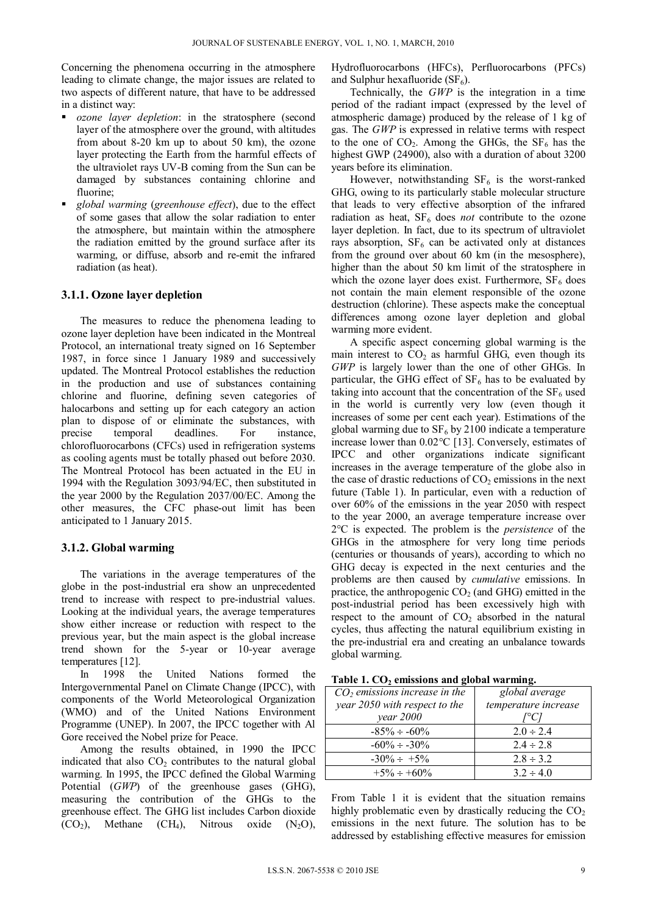Concerning the phenomena occurring in the atmosphere leading to climate change, the major issues are related to two aspects of different nature, that have to be addressed in a distinct way:

- *ozone layer depletion*: in the stratosphere (second layer of the atmosphere over the ground, with altitudes from about 8-20 km up to about 50 km), the ozone layer protecting the Earth from the harmful effects of the ultraviolet rays UV-B coming from the Sun can be damaged by substances containing chlorine and fluorine;
- *global warming* (*greenhouse effect*), due to the effect of some gases that allow the solar radiation to enter the atmosphere, but maintain within the atmosphere the radiation emitted by the ground surface after its warming, or diffuse, absorb and re-emit the infrared radiation (as heat).

## **3.1.1. Ozone layer depletion**

The measures to reduce the phenomena leading to ozone layer depletion have been indicated in the Montreal Protocol, an international treaty signed on 16 September 1987, in force since 1 January 1989 and successively updated. The Montreal Protocol establishes the reduction in the production and use of substances containing chlorine and fluorine, defining seven categories of halocarbons and setting up for each category an action plan to dispose of or eliminate the substances, with precise temporal deadlines. For instance, chlorofluorocarbons (CFCs) used in refrigeration systems as cooling agents must be totally phased out before 2030. The Montreal Protocol has been actuated in the EU in 1994 with the Regulation 3093/94/EC, then substituted in the year 2000 by the Regulation 2037/00/EC. Among the other measures, the CFC phase-out limit has been anticipated to 1 January 2015.

#### **3.1.2. Global warming**

The variations in the average temperatures of the globe in the post-industrial era show an unprecedented trend to increase with respect to pre-industrial values. Looking at the individual years, the average temperatures show either increase or reduction with respect to the previous year, but the main aspect is the global increase trend shown for the 5-year or 10-year average temperatures [12].

In 1998 the United Nations formed the Intergovernmental Panel on Climate Change (IPCC), with components of the World Meteorological Organization (WMO) and of the United Nations Environment Programme (UNEP). In 2007, the IPCC together with Al Gore received the Nobel prize for Peace.

Among the results obtained, in 1990 the IPCC indicated that also  $CO<sub>2</sub>$  contributes to the natural global warming. In 1995, the IPCC defined the Global Warming Potential (*GWP*) of the greenhouse gases (GHG), measuring the contribution of the GHGs to the greenhouse effect. The GHG list includes Carbon dioxide  $(CO_2)$ , Methane  $(CH_4)$ , Nitrous oxide  $(N_2O)$ ,

Hydrofluorocarbons (HFCs), Perfluorocarbons (PFCs) and Sulphur hexafluoride  $(SF_6)$ .

Technically, the *GWP* is the integration in a time period of the radiant impact (expressed by the level of atmospheric damage) produced by the release of 1 kg of gas. The *GWP* is expressed in relative terms with respect to the one of  $CO<sub>2</sub>$ . Among the GHGs, the  $SF<sub>6</sub>$  has the highest GWP (24900), also with a duration of about 3200 years before its elimination.

However, notwithstanding  $SF<sub>6</sub>$  is the worst-ranked GHG, owing to its particularly stable molecular structure that leads to very effective absorption of the infrared radiation as heat, SF<sub>6</sub> does *not* contribute to the ozone layer depletion. In fact, due to its spectrum of ultraviolet rays absorption,  $SF_6$  can be activated only at distances from the ground over about 60 km (in the mesosphere), higher than the about 50 km limit of the stratosphere in which the ozone layer does exist. Furthermore,  $SF<sub>6</sub>$  does not contain the main element responsible of the ozone destruction (chlorine). These aspects make the conceptual differences among ozone layer depletion and global warming more evident.

A specific aspect concerning global warming is the main interest to  $CO<sub>2</sub>$  as harmful GHG, even though its *GWP* is largely lower than the one of other GHGs. In particular, the GHG effect of  $SF_6$  has to be evaluated by taking into account that the concentration of the  $SF<sub>6</sub>$  used in the world is currently very low (even though it increases of some per cent each year). Estimations of the global warming due to  $SF_6$  by 2100 indicate a temperature increase lower than 0.02°C [13]. Conversely, estimates of IPCC and other organizations indicate significant increases in the average temperature of the globe also in the case of drastic reductions of  $CO<sub>2</sub>$  emissions in the next future (Table 1). In particular, even with a reduction of over 60% of the emissions in the year 2050 with respect to the year 2000, an average temperature increase over 2°C is expected. The problem is the *persistence* of the GHGs in the atmosphere for very long time periods (centuries or thousands of years), according to which no GHG decay is expected in the next centuries and the problems are then caused by *cumulative* emissions. In practice, the anthropogenic  $CO<sub>2</sub>$  (and GHG) emitted in the post-industrial period has been excessively high with respect to the amount of  $CO<sub>2</sub>$  absorbed in the natural cycles, thus affecting the natural equilibrium existing in the pre-industrial era and creating an unbalance towards global warming.

|  | Table 1. CO <sub>2</sub> emissions and global warming. |  |  |  |
|--|--------------------------------------------------------|--|--|--|
|--|--------------------------------------------------------|--|--|--|

| $CO2$ emissions increase in the | global average       |  |
|---------------------------------|----------------------|--|
| year 2050 with respect to the   | temperature increase |  |
| year 2000                       | [°C]                 |  |
| $-85\% \div -60\%$              | $2.0 \div 2.4$       |  |
| $-60\% \div -30\%$              | $2.4 \div 2.8$       |  |
| $-30\% \div +5\%$               | $2.8 \div 3.2$       |  |
| $+5\% \div 60\%$                | $3.2 \div 4.0$       |  |

From Table 1 it is evident that the situation remains highly problematic even by drastically reducing the  $CO<sub>2</sub>$ emissions in the next future. The solution has to be addressed by establishing effective measures for emission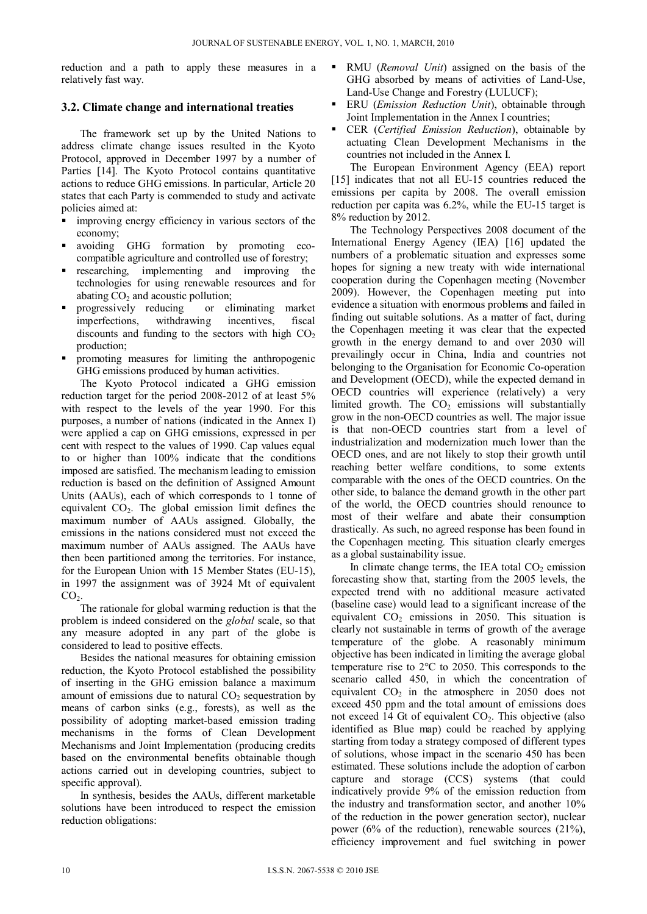reduction and a path to apply these measures in a relatively fast way.

## **3.2. Climate change and international treaties**

The framework set up by the United Nations to address climate change issues resulted in the Kyoto Protocol, approved in December 1997 by a number of Parties [14]. The Kyoto Protocol contains quantitative actions to reduce GHG emissions. In particular, Article 20 states that each Party is commended to study and activate policies aimed at:

- improving energy efficiency in various sectors of the economy;
- avoiding GHG formation by promoting ecocompatible agriculture and controlled use of forestry;
- researching, implementing and improving the technologies for using renewable resources and for abating  $CO<sub>2</sub>$  and acoustic pollution;<br>progressively reducing or eliminating market
- progressively reducing imperfections, withdrawing incentives, fiscal discounts and funding to the sectors with high  $CO<sub>2</sub>$ production;
- promoting measures for limiting the anthropogenic GHG emissions produced by human activities.

The Kyoto Protocol indicated a GHG emission reduction target for the period 2008-2012 of at least 5% with respect to the levels of the year 1990. For this purposes, a number of nations (indicated in the Annex I) were applied a cap on GHG emissions, expressed in per cent with respect to the values of 1990. Cap values equal to or higher than 100% indicate that the conditions imposed are satisfied. The mechanism leading to emission reduction is based on the definition of Assigned Amount Units (AAUs), each of which corresponds to 1 tonne of equivalent  $CO<sub>2</sub>$ . The global emission limit defines the maximum number of AAUs assigned. Globally, the emissions in the nations considered must not exceed the maximum number of AAUs assigned. The AAUs have then been partitioned among the territories. For instance, for the European Union with 15 Member States (EU-15), in 1997 the assignment was of 3924 Mt of equivalent  $CO<sub>2</sub>$ .

The rationale for global warming reduction is that the problem is indeed considered on the *global* scale, so that any measure adopted in any part of the globe is considered to lead to positive effects.

Besides the national measures for obtaining emission reduction, the Kyoto Protocol established the possibility of inserting in the GHG emission balance a maximum amount of emissions due to natural  $CO<sub>2</sub>$  sequestration by means of carbon sinks (e.g., forests), as well as the possibility of adopting market-based emission trading mechanisms in the forms of Clean Development Mechanisms and Joint Implementation (producing credits based on the environmental benefits obtainable though actions carried out in developing countries, subject to specific approval).

In synthesis, besides the AAUs, different marketable solutions have been introduced to respect the emission reduction obligations:

- RMU (*Removal Unit*) assigned on the basis of the GHG absorbed by means of activities of Land-Use, Land-Use Change and Forestry (LULUCF);
- ERU (*Emission Reduction Unit*), obtainable through Joint Implementation in the Annex I countries;
- CER (*Certified Emission Reduction*), obtainable by actuating Clean Development Mechanisms in the countries not included in the Annex I.

The European Environment Agency (EEA) report [15] indicates that not all EU-15 countries reduced the emissions per capita by 2008. The overall emission reduction per capita was 6.2%, while the EU-15 target is 8% reduction by 2012.

The Technology Perspectives 2008 document of the International Energy Agency (IEA) [16] updated the numbers of a problematic situation and expresses some hopes for signing a new treaty with wide international cooperation during the Copenhagen meeting (November 2009). However, the Copenhagen meeting put into evidence a situation with enormous problems and failed in finding out suitable solutions. As a matter of fact, during the Copenhagen meeting it was clear that the expected growth in the energy demand to and over 2030 will prevailingly occur in China, India and countries not belonging to the Organisation for Economic Co-operation and Development (OECD), while the expected demand in OECD countries will experience (relatively) a very limited growth. The  $CO<sub>2</sub>$  emissions will substantially grow in the non-OECD countries as well. The major issue is that non-OECD countries start from a level of industrialization and modernization much lower than the OECD ones, and are not likely to stop their growth until reaching better welfare conditions, to some extents comparable with the ones of the OECD countries. On the other side, to balance the demand growth in the other part of the world, the OECD countries should renounce to most of their welfare and abate their consumption drastically. As such, no agreed response has been found in the Copenhagen meeting. This situation clearly emerges as a global sustainability issue.

In climate change terms, the IEA total  $CO<sub>2</sub>$  emission forecasting show that, starting from the 2005 levels, the expected trend with no additional measure activated (baseline case) would lead to a significant increase of the equivalent  $CO<sub>2</sub>$  emissions in 2050. This situation is clearly not sustainable in terms of growth of the average temperature of the globe. A reasonably minimum objective has been indicated in limiting the average global temperature rise to 2°C to 2050. This corresponds to the scenario called 450, in which the concentration of equivalent  $CO<sub>2</sub>$  in the atmosphere in 2050 does not exceed 450 ppm and the total amount of emissions does not exceed 14 Gt of equivalent  $CO<sub>2</sub>$ . This objective (also identified as Blue map) could be reached by applying starting from today a strategy composed of different types of solutions, whose impact in the scenario 450 has been estimated. These solutions include the adoption of carbon capture and storage (CCS) systems (that could indicatively provide 9% of the emission reduction from the industry and transformation sector, and another 10% of the reduction in the power generation sector), nuclear power (6% of the reduction), renewable sources (21%), efficiency improvement and fuel switching in power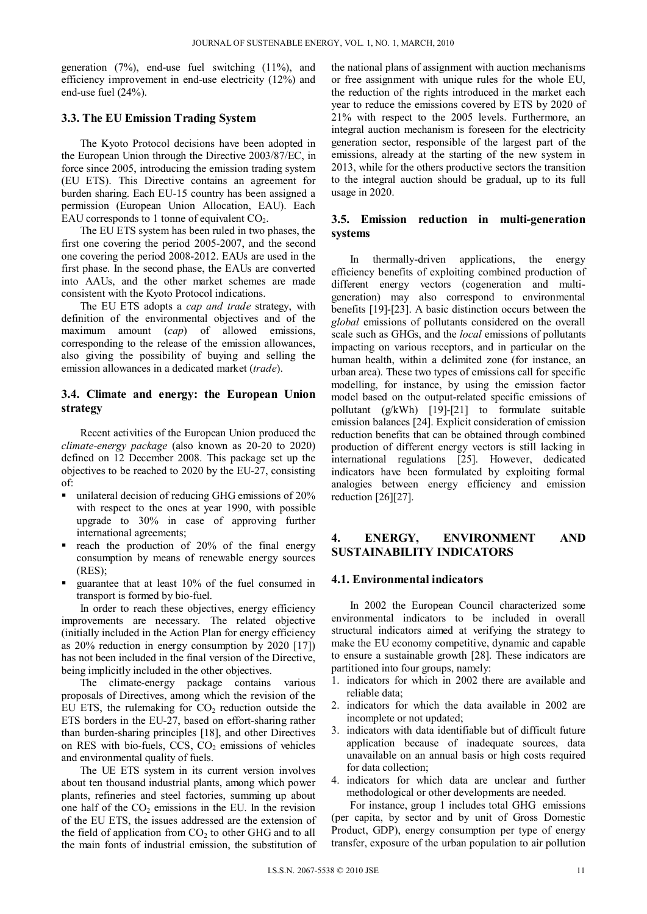generation (7%), end-use fuel switching (11%), and efficiency improvement in end-use electricity (12%) and end-use fuel (24%).

#### **3.3. The EU Emission Trading System**

The Kyoto Protocol decisions have been adopted in the European Union through the Directive 2003/87/EC, in force since 2005, introducing the emission trading system (EU ETS). This Directive contains an agreement for burden sharing. Each EU-15 country has been assigned a permission (European Union Allocation, EAU). Each EAU corresponds to 1 tonne of equivalent  $CO<sub>2</sub>$ .

The EU ETS system has been ruled in two phases, the first one covering the period 2005-2007, and the second one covering the period 2008-2012. EAUs are used in the first phase. In the second phase, the EAUs are converted into AAUs, and the other market schemes are made consistent with the Kyoto Protocol indications.

The EU ETS adopts a *cap and trade* strategy, with definition of the environmental objectives and of the maximum amount (*cap*) of allowed emissions, corresponding to the release of the emission allowances, also giving the possibility of buying and selling the emission allowances in a dedicated market (*trade*).

## **3.4. Climate and energy: the European Union strategy**

Recent activities of the European Union produced the *climate-energy package* (also known as 20-20 to 2020) defined on 12 December 2008. This package set up the objectives to be reached to 2020 by the EU-27, consisting of:

- unilateral decision of reducing GHG emissions of 20% with respect to the ones at year 1990, with possible upgrade to 30% in case of approving further international agreements;
- reach the production of 20% of the final energy consumption by means of renewable energy sources (RES);
- guarantee that at least 10% of the fuel consumed in transport is formed by bio-fuel.

In order to reach these objectives, energy efficiency improvements are necessary. The related objective (initially included in the Action Plan for energy efficiency as 20% reduction in energy consumption by 2020 [17]) has not been included in the final version of the Directive, being implicitly included in the other objectives.

The climate-energy package contains various proposals of Directives, among which the revision of the EU ETS, the rulemaking for  $CO<sub>2</sub>$  reduction outside the ETS borders in the EU-27, based on effort-sharing rather than burden-sharing principles [18], and other Directives on RES with bio-fuels,  $CCS$ ,  $CO<sub>2</sub>$  emissions of vehicles and environmental quality of fuels.

The UE ETS system in its current version involves about ten thousand industrial plants, among which power plants, refineries and steel factories, summing up about one half of the  $CO<sub>2</sub>$  emissions in the EU. In the revision of the EU ETS, the issues addressed are the extension of the field of application from  $CO<sub>2</sub>$  to other GHG and to all the main fonts of industrial emission, the substitution of the national plans of assignment with auction mechanisms or free assignment with unique rules for the whole EU, the reduction of the rights introduced in the market each year to reduce the emissions covered by ETS by 2020 of 21% with respect to the 2005 levels. Furthermore, an integral auction mechanism is foreseen for the electricity generation sector, responsible of the largest part of the emissions, already at the starting of the new system in 2013, while for the others productive sectors the transition to the integral auction should be gradual, up to its full usage in 2020.

## **3.5. Emission reduction in multi-generation systems**

In thermally-driven applications, the energy efficiency benefits of exploiting combined production of different energy vectors (cogeneration and multigeneration) may also correspond to environmental benefits [19]-[23]. A basic distinction occurs between the *global* emissions of pollutants considered on the overall scale such as GHGs, and the *local* emissions of pollutants impacting on various receptors, and in particular on the human health, within a delimited zone (for instance, an urban area). These two types of emissions call for specific modelling, for instance, by using the emission factor model based on the output-related specific emissions of pollutant (g/kWh) [19]-[21] to formulate suitable emission balances [24]. Explicit consideration of emission reduction benefits that can be obtained through combined production of different energy vectors is still lacking in international regulations [25]. However, dedicated indicators have been formulated by exploiting formal analogies between energy efficiency and emission reduction [26][27].

# **4. ENERGY, ENVIRONMENT AND SUSTAINABILITY INDICATORS**

#### **4.1. Environmental indicators**

In 2002 the European Council characterized some environmental indicators to be included in overall structural indicators aimed at verifying the strategy to make the EU economy competitive, dynamic and capable to ensure a sustainable growth [28]. These indicators are partitioned into four groups, namely:

- 1. indicators for which in 2002 there are available and reliable data;
- 2. indicators for which the data available in 2002 are incomplete or not updated;
- 3. indicators with data identifiable but of difficult future application because of inadequate sources, data unavailable on an annual basis or high costs required for data collection;
- 4. indicators for which data are unclear and further methodological or other developments are needed.

For instance, group 1 includes total GHG emissions (per capita, by sector and by unit of Gross Domestic Product, GDP), energy consumption per type of energy transfer, exposure of the urban population to air pollution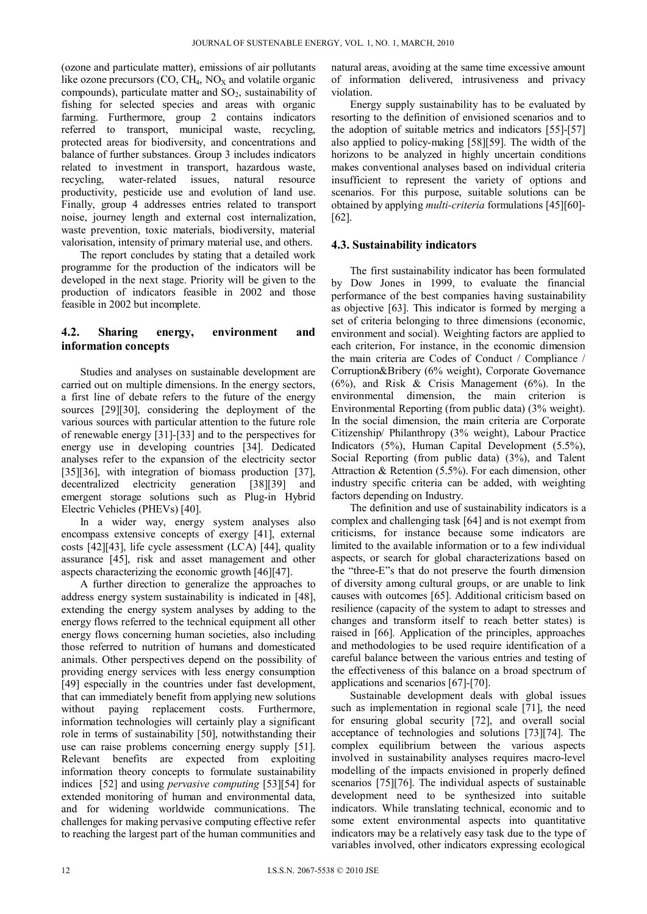(ozone and particulate matter), emissions of air pollutants like ozone precursors  $(CO, CH<sub>4</sub>, NO<sub>x</sub>$  and volatile organic compounds), particulate matter and  $SO_2$ , sustainability of fishing for selected species and areas with organic farming. Furthermore, group 2 contains indicators referred to transport, municipal waste, recycling, protected areas for biodiversity, and concentrations and balance of further substances. Group 3 includes indicators related to investment in transport, hazardous waste, recycling, water-related issues, natural resource productivity, pesticide use and evolution of land use. Finally, group 4 addresses entries related to transport noise, journey length and external cost internalization, waste prevention, toxic materials, biodiversity, material valorisation, intensity of primary material use, and others.

The report concludes by stating that a detailed work programme for the production of the indicators will be developed in the next stage. Priority will be given to the production of indicators feasible in 2002 and those feasible in 2002 but incomplete.

# **4.2. Sharing energy, environment and information concepts**

Studies and analyses on sustainable development are carried out on multiple dimensions. In the energy sectors, a first line of debate refers to the future of the energy sources [29][30], considering the deployment of the various sources with particular attention to the future role of renewable energy [31]-[33] and to the perspectives for energy use in developing countries [34]. Dedicated analyses refer to the expansion of the electricity sector [35][36], with integration of biomass production [37], decentralized electricity generation [38][39] and emergent storage solutions such as Plug-in Hybrid Electric Vehicles (PHEVs) [40].

In a wider way, energy system analyses also encompass extensive concepts of exergy [41], external costs [42][43], life cycle assessment (LCA) [44], quality assurance [45], risk and asset management and other aspects characterizing the economic growth [46][47].

A further direction to generalize the approaches to address energy system sustainability is indicated in [48], extending the energy system analyses by adding to the energy flows referred to the technical equipment all other energy flows concerning human societies, also including those referred to nutrition of humans and domesticated animals. Other perspectives depend on the possibility of providing energy services with less energy consumption [49] especially in the countries under fast development, that can immediately benefit from applying new solutions without paying replacement costs. Furthermore, information technologies will certainly play a significant role in terms of sustainability [50], notwithstanding their use can raise problems concerning energy supply [51]. Relevant benefits are expected from exploiting information theory concepts to formulate sustainability indices [52] and using *pervasive computing* [53][54] for extended monitoring of human and environmental data, and for widening worldwide communications. The challenges for making pervasive computing effective refer to reaching the largest part of the human communities and

natural areas, avoiding at the same time excessive amount of information delivered, intrusiveness and privacy violation.

Energy supply sustainability has to be evaluated by resorting to the definition of envisioned scenarios and to the adoption of suitable metrics and indicators [55]-[57] also applied to policy-making [58][59]. The width of the horizons to be analyzed in highly uncertain conditions makes conventional analyses based on individual criteria insufficient to represent the variety of options and scenarios. For this purpose, suitable solutions can be obtained by applying *multi-criteria* formulations [45][60]- [62].

## **4.3. Sustainability indicators**

The first sustainability indicator has been formulated by Dow Jones in 1999, to evaluate the financial performance of the best companies having sustainability as objective [63]. This indicator is formed by merging a set of criteria belonging to three dimensions (economic, environment and social). Weighting factors are applied to each criterion, For instance, in the economic dimension the main criteria are Codes of Conduct / Compliance / Corruption&Bribery (6% weight), Corporate Governance  $(6\%)$ , and Risk & Crisis Management  $(6\%)$ . In the environmental dimension, the main criterion is Environmental Reporting (from public data) (3% weight). In the social dimension, the main criteria are Corporate Citizenship/ Philanthropy (3% weight), Labour Practice Indicators (5%), Human Capital Development (5.5%), Social Reporting (from public data) (3%), and Talent Attraction & Retention (5.5%). For each dimension, other industry specific criteria can be added, with weighting factors depending on Industry.

The definition and use of sustainability indicators is a complex and challenging task [64] and is not exempt from criticisms, for instance because some indicators are limited to the available information or to a few individual aspects, or search for global characterizations based on the "three-E"s that do not preserve the fourth dimension of diversity among cultural groups, or are unable to link causes with outcomes [65]. Additional criticism based on resilience (capacity of the system to adapt to stresses and changes and transform itself to reach better states) is raised in [66]. Application of the principles, approaches and methodologies to be used require identification of a careful balance between the various entries and testing of the effectiveness of this balance on a broad spectrum of applications and scenarios [67]-[70].

Sustainable development deals with global issues such as implementation in regional scale [71], the need for ensuring global security [72], and overall social acceptance of technologies and solutions [73][74]. The complex equilibrium between the various aspects involved in sustainability analyses requires macro-level modelling of the impacts envisioned in properly defined scenarios [75][76]. The individual aspects of sustainable development need to be synthesized into suitable indicators. While translating technical, economic and to some extent environmental aspects into quantitative indicators may be a relatively easy task due to the type of variables involved, other indicators expressing ecological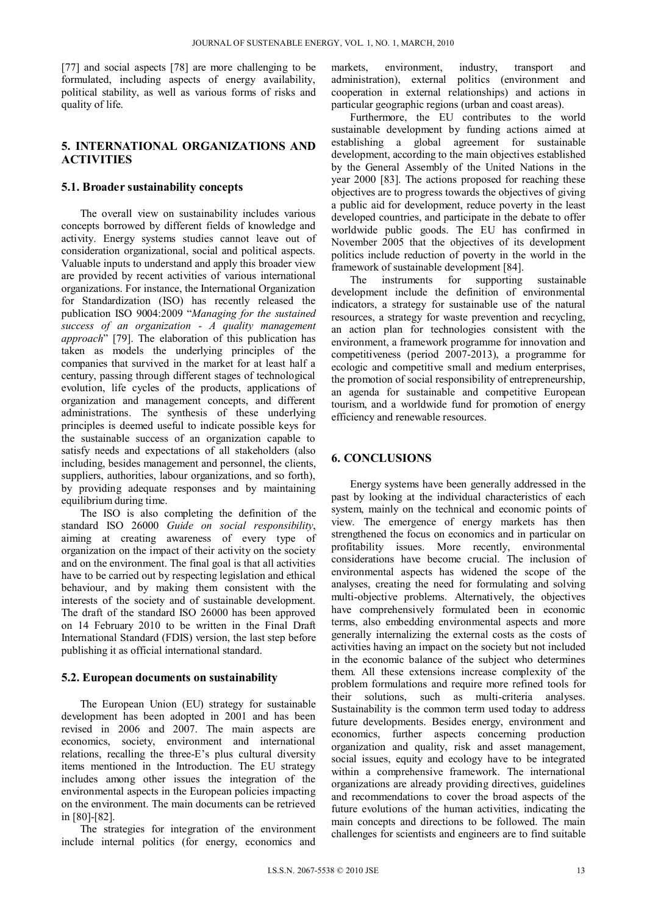[77] and social aspects [78] are more challenging to be formulated, including aspects of energy availability, political stability, as well as various forms of risks and quality of life.

# **5. INTERNATIONAL ORGANIZATIONS AND ACTIVITIES**

#### **5.1. Broader sustainability concepts**

The overall view on sustainability includes various concepts borrowed by different fields of knowledge and activity. Energy systems studies cannot leave out of consideration organizational, social and political aspects. Valuable inputs to understand and apply this broader view are provided by recent activities of various international organizations. For instance, the International Organization for Standardization (ISO) has recently released the publication ISO 9004:2009 "*Managing for the sustained success of an organization - A quality management approach*" [79]. The elaboration of this publication has taken as models the underlying principles of the companies that survived in the market for at least half a century, passing through different stages of technological evolution, life cycles of the products, applications of organization and management concepts, and different administrations. The synthesis of these underlying principles is deemed useful to indicate possible keys for the sustainable success of an organization capable to satisfy needs and expectations of all stakeholders (also including, besides management and personnel, the clients, suppliers, authorities, labour organizations, and so forth), by providing adequate responses and by maintaining equilibrium during time.

The ISO is also completing the definition of the standard ISO 26000 *Guide on social responsibility*, aiming at creating awareness of every type of organization on the impact of their activity on the society and on the environment. The final goal is that all activities have to be carried out by respecting legislation and ethical behaviour, and by making them consistent with the interests of the society and of sustainable development. The draft of the standard ISO 26000 has been approved on 14 February 2010 to be written in the Final Draft International Standard (FDIS) version, the last step before publishing it as official international standard.

#### **5.2. European documents on sustainability**

The European Union (EU) strategy for sustainable development has been adopted in 2001 and has been revised in 2006 and 2007. The main aspects are economics, society, environment and international relations, recalling the three-E's plus cultural diversity items mentioned in the Introduction. The EU strategy includes among other issues the integration of the environmental aspects in the European policies impacting on the environment. The main documents can be retrieved in [80]-[82].

The strategies for integration of the environment include internal politics (for energy, economics and

markets, environment, industry, transport and administration), external politics (environment and cooperation in external relationships) and actions in particular geographic regions (urban and coast areas).

Furthermore, the EU contributes to the world sustainable development by funding actions aimed at establishing a global agreement for sustainable development, according to the main objectives established by the General Assembly of the United Nations in the year 2000 [83]. The actions proposed for reaching these objectives are to progress towards the objectives of giving a public aid for development, reduce poverty in the least developed countries, and participate in the debate to offer worldwide public goods. The EU has confirmed in November 2005 that the objectives of its development politics include reduction of poverty in the world in the framework of sustainable development [84].

The instruments for supporting sustainable development include the definition of environmental indicators, a strategy for sustainable use of the natural resources, a strategy for waste prevention and recycling, an action plan for technologies consistent with the environment, a framework programme for innovation and competitiveness (period 2007-2013), a programme for ecologic and competitive small and medium enterprises, the promotion of social responsibility of entrepreneurship, an agenda for sustainable and competitive European tourism, and a worldwide fund for promotion of energy efficiency and renewable resources.

## **6. CONCLUSIONS**

Energy systems have been generally addressed in the past by looking at the individual characteristics of each system, mainly on the technical and economic points of view. The emergence of energy markets has then strengthened the focus on economics and in particular on profitability issues. More recently, environmental considerations have become crucial. The inclusion of environmental aspects has widened the scope of the analyses, creating the need for formulating and solving multi-objective problems. Alternatively, the objectives have comprehensively formulated been in economic terms, also embedding environmental aspects and more generally internalizing the external costs as the costs of activities having an impact on the society but not included in the economic balance of the subject who determines them. All these extensions increase complexity of the problem formulations and require more refined tools for their solutions, such as multi-criteria analyses. Sustainability is the common term used today to address future developments. Besides energy, environment and economics, further aspects concerning production organization and quality, risk and asset management, social issues, equity and ecology have to be integrated within a comprehensive framework. The international organizations are already providing directives, guidelines and recommendations to cover the broad aspects of the future evolutions of the human activities, indicating the main concepts and directions to be followed. The main challenges for scientists and engineers are to find suitable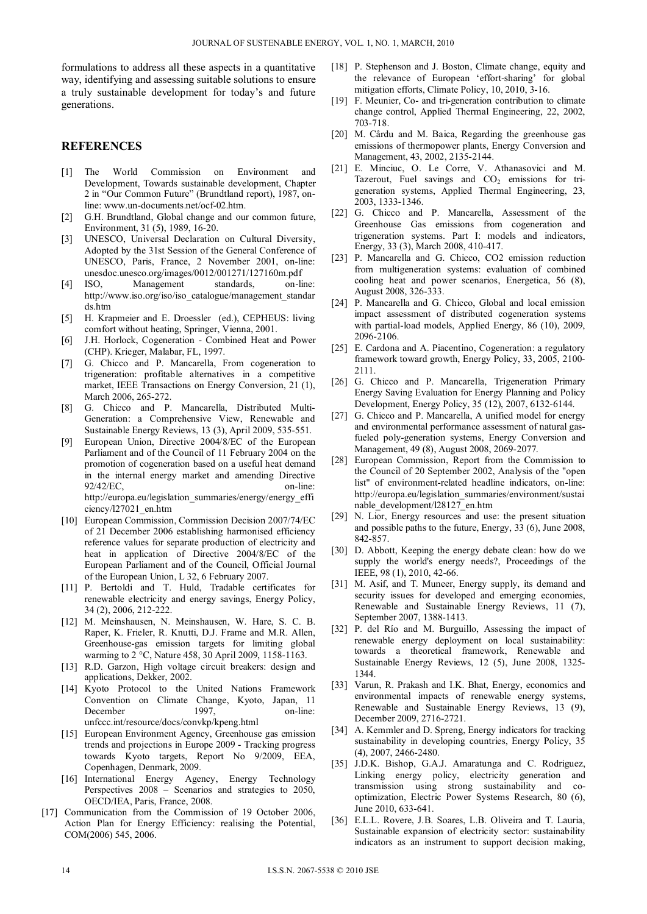formulations to address all these aspects in a quantitative way, identifying and assessing suitable solutions to ensure a truly sustainable development for today's and future generations.

#### **REFERENCES**

- [1] The World Commission on Environment and Development, Towards sustainable development, Chapter 2 in "Our Common Future" (Brundtland report), 1987, online: www.un-documents.net/ocf-02.htm.
- [2] G.H. Brundtland, Global change and our common future, Environment, 31 (5), 1989, 16-20.
- [3] UNESCO, Universal Declaration on Cultural Diversity, Adopted by the 31st Session of the General Conference of UNESCO, Paris, France, 2 November 2001, on-line: unesdoc.unesco.org/images/0012/001271/127160m.pdf
- [4] ISO, Management standards, on-line: http://www.iso.org/iso/iso\_catalogue/management\_standar ds.htm
- [5] H. Krapmeier and E. Droessler (ed.), CEPHEUS: living comfort without heating, Springer, Vienna, 2001.
- [6] J.H. Horlock, Cogeneration Combined Heat and Power (CHP). Krieger, Malabar, FL, 1997.
- [7] G. Chicco and P. Mancarella, From cogeneration to trigeneration: profitable alternatives in a competitive market, IEEE Transactions on Energy Conversion, 21 (1), March 2006, 265-272.
- [8] G. Chicco and P. Mancarella, Distributed Multi-Generation: a Comprehensive View, Renewable and Sustainable Energy Reviews, 13 (3), April 2009, 535-551.
- [9] European Union, Directive 2004/8/EC of the European Parliament and of the Council of 11 February 2004 on the promotion of cogeneration based on a useful heat demand in the internal energy market and amending Directive  $92/42/EC$ , on-line: http://europa.eu/legislation\_summaries/energy/energy\_effi ciency/l27021\_en.htm
- [10] European Commission, Commission Decision 2007/74/EC of 21 December 2006 establishing harmonised efficiency reference values for separate production of electricity and heat in application of Directive 2004/8/EC of the European Parliament and of the Council, Official Journal of the European Union, L 32, 6 February 2007.
- [11] P. Bertoldi and T. Huld, Tradable certificates for renewable electricity and energy savings, Energy Policy, 34 (2), 2006, 212-222.
- [12] M. Meinshausen, N. Meinshausen, W. Hare, S. C. B. Raper, K. Frieler, R. Knutti, D.J. Frame and M.R. Allen, Greenhouse-gas emission targets for limiting global warming to 2 °C, Nature 458, 30 April 2009, 1158-1163.
- [13] R.D. Garzon, High voltage circuit breakers: design and applications, Dekker, 2002.
- [14] Kyoto Protocol to the United Nations Framework Convention on Climate Change, Kyoto, Japan, 11 December 1997. on-line: unfccc.int/resource/docs/convkp/kpeng.html
- [15] European Environment Agency, Greenhouse gas emission trends and projections in Europe 2009 - Tracking progress towards Kyoto targets, Report No 9/2009, EEA, Copenhagen, Denmark, 2009.
- [16] International Energy Agency, Energy Technology Perspectives 2008 – Scenarios and strategies to 2050, OECD/IEA, Paris, France, 2008.
- [17] Communication from the Commission of 19 October 2006, Action Plan for Energy Efficiency: realising the Potential, COM(2006) 545, 2006.
- [18] P. Stephenson and J. Boston, Climate change, equity and the relevance of European 'effort-sharing' for global mitigation efforts, Climate Policy, 10, 2010, 3-16.
- [19] F. Meunier, Co- and tri-generation contribution to climate change control, Applied Thermal Engineering, 22, 2002, 703-718.
- [20] M. Cârdu and M. Baica, Regarding the greenhouse gas emissions of thermopower plants, Energy Conversion and Management, 43, 2002, 2135-2144.
- [21] E. Minciuc, O. Le Corre, V. Athanasovici and M. Tazerout, Fuel savings and  $CO<sub>2</sub>$  emissions for trigeneration systems, Applied Thermal Engineering, 23, 2003, 1333-1346.
- [22] G. Chicco and P. Mancarella, Assessment of the Greenhouse Gas emissions from cogeneration and trigeneration systems. Part I: models and indicators, Energy, 33 (3), March 2008, 410-417.
- [23] P. Mancarella and G. Chicco, CO2 emission reduction from multigeneration systems: evaluation of combined cooling heat and power scenarios, Energetica, 56 (8), August 2008, 326-333.
- [24] P. Mancarella and G. Chicco, Global and local emission impact assessment of distributed cogeneration systems with partial-load models, Applied Energy, 86 (10), 2009, 2096-2106.
- [25] E. Cardona and A. Piacentino, Cogeneration: a regulatory framework toward growth, Energy Policy, 33, 2005, 2100- 2111.
- [26] G. Chicco and P. Mancarella, Trigeneration Primary Energy Saving Evaluation for Energy Planning and Policy Development, Energy Policy, 35 (12), 2007, 6132-6144.
- [27] G. Chicco and P. Mancarella, A unified model for energy and environmental performance assessment of natural gasfueled poly-generation systems, Energy Conversion and Management, 49 (8), August 2008, 2069-2077.
- [28] European Commission, Report from the Commission to the Council of 20 September 2002, Analysis of the "open list" of environment-related headline indicators, on-line: http://europa.eu/legislation\_summaries/environment/sustai nable\_development/l28127\_en.htm
- [29] N. Lior, Energy resources and use: the present situation and possible paths to the future, Energy, 33 (6), June 2008, 842-857.
- [30] D. Abbott, Keeping the energy debate clean: how do we supply the world's energy needs?, Proceedings of the IEEE, 98 (1), 2010, 42-66.
- [31] M. Asif, and T. Muneer, Energy supply, its demand and security issues for developed and emerging economies, Renewable and Sustainable Energy Reviews, 11 (7), September 2007, 1388-1413.
- [32] P. del Río and M. Burguillo, Assessing the impact of renewable energy deployment on local sustainability: towards a theoretical framework, Renewable and Sustainable Energy Reviews, 12 (5), June 2008, 1325- 1344.
- [33] Varun, R. Prakash and I.K. Bhat, Energy, economics and environmental impacts of renewable energy systems, Renewable and Sustainable Energy Reviews, 13 (9), December 2009, 2716-2721.
- [34] A. Kemmler and D. Spreng, Energy indicators for tracking sustainability in developing countries, Energy Policy, 35 (4), 2007, 2466-2480.
- [35] J.D.K. Bishop, G.A.J. Amaratunga and C. Rodriguez, Linking energy policy, electricity generation and transmission using strong sustainability and cooptimization, Electric Power Systems Research, 80 (6), June 2010, 633-641.
- [36] E.L.L. Rovere, J.B. Soares, L.B. Oliveira and T. Lauria, Sustainable expansion of electricity sector: sustainability indicators as an instrument to support decision making,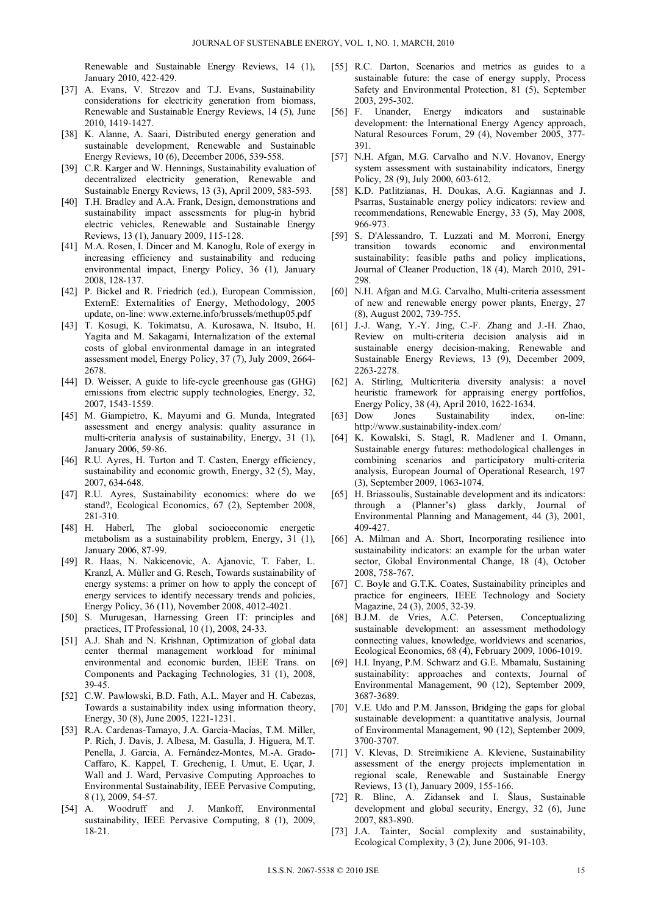Renewable and Sustainable Energy Reviews, 14 (1), January 2010, 422-429.

- [37] A. Evans, V. Strezov and T.J. Evans, Sustainability considerations for electricity generation from biomass, Renewable and Sustainable Energy Reviews, 14 (5), June 2010, 1419-1427.
- [38] K. Alanne, A. Saari, Distributed energy generation and sustainable development, Renewable and Sustainable Energy Reviews, 10 (6), December 2006, 539-558.
- [39] C.R. Karger and W. Hennings, Sustainability evaluation of decentralized electricity generation, Renewable and Sustainable Energy Reviews, 13 (3), April 2009, 583-593.
- [40] T.H. Bradley and A.A. Frank, Design, demonstrations and sustainability impact assessments for plug-in hybrid electric vehicles, Renewable and Sustainable Energy Reviews, 13 (1), January 2009, 115-128.
- [41] M.A. Rosen, I. Dincer and M. Kanoglu, Role of exergy in increasing efficiency and sustainability and reducing environmental impact, Energy Policy, 36 (1), January 2008, 128-137.
- [42] P. Bickel and R. Friedrich (ed.), European Commission, ExternE: Externalities of Energy, Methodology, 2005 update, on-line: www.externe.info/brussels/methup05.pdf
- [43] T. Kosugi, K. Tokimatsu, A. Kurosawa, N. Itsubo, H. Yagita and M. Sakagami, Internalization of the external costs of global environmental damage in an integrated assessment model, Energy Policy, 37 (7), July 2009, 2664- 2678.
- [44] D. Weisser, A guide to life-cycle greenhouse gas (GHG) emissions from electric supply technologies, Energy, 32, 2007, 1543-1559.
- [45] M. Giampietro, K. Mayumi and G. Munda, Integrated assessment and energy analysis: quality assurance in multi-criteria analysis of sustainability, Energy, 31 (1), January 2006, 59-86.
- [46] R.U. Ayres, H. Turton and T. Casten, Energy efficiency, sustainability and economic growth, Energy, 32 (5), May, 2007, 634-648.
- [47] R.U. Ayres, Sustainability economics: where do we stand?, Ecological Economics, 67 (2), September 2008, 281-310.
- [48] H. Haberl, The global socioeconomic energetic metabolism as a sustainability problem, Energy, 31 (1), January 2006, 87-99.
- [49] R. Haas, N. Nakicenovic, A. Ajanovic, T. Faber, L. Kranzl, A. Müller and G. Resch, Towards sustainability of energy systems: a primer on how to apply the concept of energy services to identify necessary trends and policies, Energy Policy, 36 (11), November 2008, 4012-4021.
- [50] S. Murugesan, Harnessing Green IT: principles and practices, IT Professional, 10 (1), 2008, 24-33.
- [51] A.J. Shah and N. Krishnan, Optimization of global data center thermal management workload for minimal environmental and economic burden, IEEE Trans. on Components and Packaging Technologies, 31 (1), 2008, 39-45.
- [52] C.W. Pawlowski, B.D. Fath, A.L. Mayer and H. Cabezas, Towards a sustainability index using information theory, Energy, 30 (8), June 2005, 1221-1231.
- [53] R.A. Cardenas-Tamayo, J.A. García-Macías, T.M. Miller, P. Rich, J. Davis, J. Albesa, M. Gasulla, J. Higuera, M.T. Penella, J. Garcia, A. Fernández-Montes, M.-A. Grado-Caffaro, K. Kappel, T. Grechenig, I. Umut, E. Uçar, J. Wall and J. Ward, Pervasive Computing Approaches to Environmental Sustainability, IEEE Pervasive Computing, 8 (1), 2009, 54-57.
- [54] A. Woodruff and J. Mankoff, Environmental sustainability, IEEE Pervasive Computing, 8 (1), 2009, 18-21.
- [55] R.C. Darton, Scenarios and metrics as guides to a sustainable future: the case of energy supply, Process Safety and Environmental Protection, 81 (5), September 2003, 295-302.<br>[56] F. Unander, Energy
- indicators and sustainable development: the International Energy Agency approach, Natural Resources Forum, 29 (4), November 2005, 377- 391.
- [57] N.H. Afgan, M.G. Carvalho and N.V. Hovanov, Energy system assessment with sustainability indicators, Energy Policy, 28 (9), July 2000, 603-612.
- [58] K.D. Patlitzianas, H. Doukas, A.G. Kagiannas and J. Psarras, Sustainable energy policy indicators: review and recommendations, Renewable Energy, 33 (5), May 2008, 966-973.
- [59] S. D'Alessandro, T. Luzzati and M. Morroni, Energy transition towards economic and environmental sustainability: feasible paths and policy implications, Journal of Cleaner Production, 18 (4), March 2010, 291- 298.
- [60] N.H. Afgan and M.G. Carvalho, Multi-criteria assessment of new and renewable energy power plants, Energy, 27 (8), August 2002, 739-755.
- [61] J.-J. Wang, Y.-Y. Jing, C.-F. Zhang and J.-H. Zhao, Review on multi-criteria decision analysis aid in sustainable energy decision-making, Renewable and Sustainable Energy Reviews, 13 (9), December 2009, 2263-2278.
- [62] A. Stirling, Multicriteria diversity analysis: a novel heuristic framework for appraising energy portfolios, Energy Policy, 38 (4), April 2010, 1622-1634.
- [63] Dow Jones Sustainability index, on-line: http://www.sustainability-index.com/
- [64] K. Kowalski, S. Stagl, R. Madlener and I. Omann, Sustainable energy futures: methodological challenges in combining scenarios and participatory multi-criteria analysis, European Journal of Operational Research, 197 (3), September 2009, 1063-1074.
- [65] H. Briassoulis, Sustainable development and its indicators: through a (Planner's) glass darkly, Journal of Environmental Planning and Management, 44 (3), 2001, 409-427.
- [66] A. Milman and A. Short, Incorporating resilience into sustainability indicators: an example for the urban water sector, Global Environmental Change, 18 (4), October 2008, 758-767.
- [67] C. Boyle and G.T.K. Coates, Sustainability principles and practice for engineers, IEEE Technology and Society Magazine, 24 (3), 2005, 32-39.
- [68] B.J.M. de Vries, A.C. Petersen, Conceptualizing sustainable development: an assessment methodology connecting values, knowledge, worldviews and scenarios, Ecological Economics, 68 (4), February 2009, 1006-1019.
- [69] H.I. Inyang, P.M. Schwarz and G.E. Mbamalu, Sustaining sustainability: approaches and contexts, Journal of Environmental Management, 90 (12), September 2009, 3687-3689.
- [70] V.E. Udo and P.M. Jansson, Bridging the gaps for global sustainable development: a quantitative analysis, Journal of Environmental Management, 90 (12), September 2009, 3700-3707.
- [71] V. Klevas, D. Streimikiene A. Kleviene, Sustainability assessment of the energy projects implementation in regional scale, Renewable and Sustainable Energy Reviews, 13 (1), January 2009, 155-166.
- [72] R. Blinc, A. Zidansek and I. Šlaus, Sustainable development and global security, Energy, 32 (6), June 2007, 883-890.
- [73] J.A. Tainter, Social complexity and sustainability, Ecological Complexity, 3 (2), June 2006, 91-103.